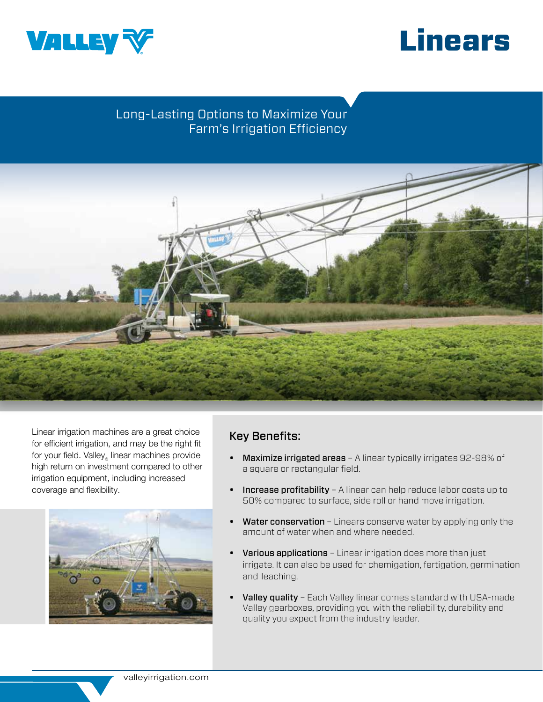



# Long-Lasting Options to Maximize Your Farm's Irrigation Efficiency



Linear irrigation machines are a great choice for efficient irrigation, and may be the right fit for your field. Valley linear machines provide high return on investment compared to other irrigation equipment, including increased coverage and flexibility.



# Key Benefits:

- Maximize irrigated areas A linear typically irrigates 92-98% of a square or rectangular field.
- Increase profitability A linear can help reduce labor costs up to 50% compared to surface, side roll or hand move irrigation.
- Water conservation Linears conserve water by applying only the amount of water when and where needed.
- Various applications Linear irrigation does more than just irrigate. It can also be used for chemigation, fertigation, germination and leaching.
- Valley quality Each Valley linear comes standard with USA-made Valley gearboxes, providing you with the reliability, durability and quality you expect from the industry leader.